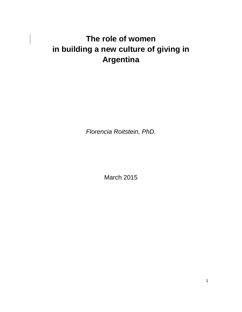# **The role of women in building a new culture of giving in Argentina**

*Florencia Roitstein, PhD.*

March 2015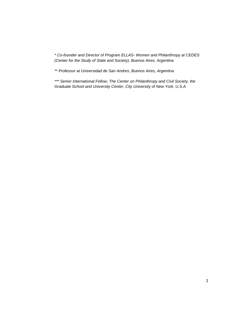*\* Co-founder and Director of Program ELLAS- Women and Philanthropy at CEDES (Center for the Study of State and Society), Buenos Aires, Argentina*

*\*\* Professor at Universidad de San Andres, Buenos Aires, Argentina*

*\*\*\* Senior International Fellow, The Center on Philanthropy and Civil Society, the Graduate School and University Center, City University of New York, U.S.A*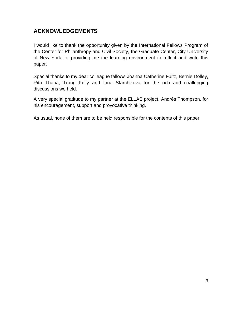# **ACKNOWLEDGEMENTS**

I would like to thank the opportunity given by the International Fellows Program of the Center for Philanthropy and Civil Society, the Graduate Center, City University of New York for providing me the learning environment to reflect and write this paper.

Special thanks to my dear colleague fellows Joanna Catherine Fultz, Bernie Dolley, Rita Thapa, Trang Kelly and Inna Starchikova for the rich and challenging discussions we held.

A very special gratitude to my partner at the ELLAS project, Andrés Thompson, for his encouragement, support and provocative thinking.

As usual, none of them are to be held responsible for the contents of this paper.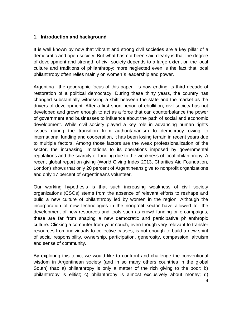# **1. Introduction and background**

It is well known by now that vibrant and strong civil societies are a key pillar of a democratic and open society. But what has not been said clearly is that the degree of development and strength of civil society depends to a large extent on the local culture and traditions of philanthropy; more neglected even is the fact that local philanthropy often relies mainly on women´s leadership and power.

Argentina—the geographic focus of this paper—is now ending its third decade of restoration of a political democracy. During these thirty years, the country has changed substantially witnessing a shift between the state and the market as the drivers of development. After a first short period of ebullition, civil society has not developed and grown enough to act as a force that can counterbalance the power of government and businesses to influence about the path of social and economic development. While civil society played a key role in advancing human rights issues during the transition from authoritarianism to democracy owing to international funding and cooperation, it has been losing terrain in recent years due to multiple factors. Among those factors are the weak professionalization of the sector, the increasing limitations to its operations imposed by governmental regulations and the scarcity of funding due to the weakness of local philanthropy. A recent global report on giving (World Giving Index 2013, Charities Aid Foundation, London) shows that only 20 percent of Argentineans give to nonprofit organizations and only 17 percent of Argentineans volunteer.

Our working hypothesis is that such increasing weakness of civil society organizations (CSOs) stems from the absence of relevant efforts to reshape and build a new culture of philanthropy led by women in the region. Although the incorporation of new technologies in the nonprofit sector have allowed for the development of new resources and tools such as crowd funding or e-campaigns, these are far from shaping a new democratic and participative philanthropic culture. Clicking a computer from your couch, even though very relevant to transfer resources from individuals to collective causes, is not enough to build a new spirit of social responsibility, ownership, participation, generosity, compassion, altruism and sense of community.

By exploring this topic, we would like to confront and challenge the conventional wisdom in Argentinean society (and in so many others countries in the global South) that: a) philanthropy is only a matter of the rich giving to the poor; b) philanthropy is elitist; c) philanthropy is almost exclusively about money; d)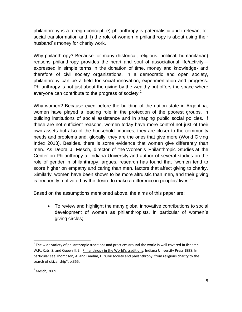philanthropy is a foreign concept; e) philanthropy is paternalistic and irrelevant for social transformation and, f) the role of women in philanthropy is about using their husband´s money for charity work.

Why philanthropy? Because for many (historical, religious, political, humanitarian) reasons philanthropy provides the heart and soul of associational life/activity expressed in simple terms in the donation of time, money and knowledge- and therefore of civil society organizations. In a democratic and open society, philanthropy can be a field for social innovation, experimentation and progress. Philanthropy is not just about the giving by the wealthy but offers the space where everyone can contribute to the progress of society.<sup>1</sup>

Why women? Because even before the building of the nation state in Argentina, women have played a leading role in the protection of the poorest groups, in building institutions of social assistance and in shaping public social policies. If these are not sufficient reasons, women today have more control not just of their own assets but also of the household finances; they are closer to the community needs and problems and, globally, they are the ones that give more (World Giving Index 2013). Besides, there is some evidence that women give differently than men. As Debra J. Mesch, director of the Women's [Philanthropic](http://www.philanthropy.iupui.edu/womens-philanthropy-institute) Studies at the Center on Philanthropy at Indiana University and author of several studies on the role of gender in philanthropy, argues, research has found that "women tend to score higher on empathy and caring than men, factors that affect giving to charity. Similarly, women have been shown to be more altruistic than men, and their giving is frequently motivated by the desire to make a difference in peoples' lives."<sup>2</sup>

Based on the assumptions mentioned above, the aims of this paper are:

 To review and highlight the many global innovative contributions to social development of women as philanthropists, in particular of women´s giving circles;

 $\overline{a}$  $1$  The wide variety of philanthropic traditions and practices around the world is well covered in Ilchamn, W.F., Kats, S. and Queen II, E., Philanthropy in the World´s traditions, Indiana University Press 1998. In particular see Thompson, A. and Landim, L. "Civil society and philanthropy: from religious charity to the search of citizenship", p.355.

 $<sup>2</sup>$  Mesch, 2009</sup>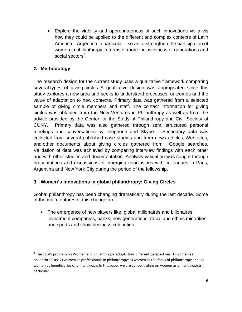Explore the viability and appropriateness of such innovations vis a vis how they could be applied to the different and complex contexts of Latin America—Argentina in particular—so as to strengthen the participation of women in philanthropy in terms of more inclusiveness of generations and social sectors $^3$ .

# **2. Methodology**

 $\overline{a}$ 

The research design for the current study uses a qualitative framework comparing several types of giving circles. A qualitative design was appropriated since this study explores a new area and seeks to understand processes, outcomes and the value of adaptation to new contexts. Primary data was gathered from a selected sample of giving circle members and staff. The contact information for giving circles was obtained from the New Ventures in Philanthropy as well as from the advice provided by the Center for the Study of Philanthropy and Civil Society at CUNY. Primary data was also gathered through semi structured personal meetings and conversations by telephone and Skype.. Secondary data was collected from several published case studies and from news articles, Web sites, and other documents about giving circles gathered from Google searches. Validation of data was achieved by comparing interview findings with each other and with other studies and documentation. Analysis validation was sought through presentations and discussions of emerging conclusions with colleagues in Paris, Argentina and New York City during the period of the fellowship.

# **3. Women´s innovations in global philanthropy: Giving Circles**

Global philanthropy has been changing dramatically during the last decade. Some of the main features of this change are:

 The emergence of new players like: global millonaires and billonaires, investment companies, banks, new generations, racial and ethnic minorities, and sports and show business celebrities;

 $3$  The ELLAS program on Women and Philanthropy adopts four different perspectives: 1) women as philanthropists; 2) women as professionals in philanthropy; 3) women as the focus of philanthropy and, 4) women as beneficiaries of philanthropy. In this paper we are concentrating on women as philanthropists in particular.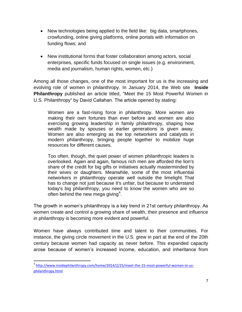- New technologies being applied to the field like: big data, smartphones, crowfunding, online giving platforms, online portals with information on funding flows; and
- New institutional forms that foster collaboration among actors, social enterprises, specific funds focused on single issues (e.g. environment, media and journalism, human rights, women, etc.)

Among all those changes, one of the most important for us is the increasing and evolving role of women in philanthropy. In January 2014, the Web site **Inside Philanthropy** published an article titled, ["Meet the 15 Most Powerful Women in](http://www.insidephilanthropy.com/home/2014/2/25/meet-the-15-most-powerful-women-in-us-philanthropy.html)  U.S. [Philanthropy"](http://www.insidephilanthropy.com/home/2014/2/25/meet-the-15-most-powerful-women-in-us-philanthropy.html) by David Callahan. The article opened by stating:

Women are a fast-rising force in philanthropy. More women are making their own fortunes than ever before and women are also exercising growing leadership in family philanthropy, shaping how wealth made by spouses or earlier generations is given away. Women are also emerging as the top networkers and catalysts in modern philanthropy, bringing people together to mobilize huge resources for different causes.

Too often, though, the quiet power of women philanthropic leaders is overlooked. Again and again, famous rich men are afforded the lion's share of the credit for big gifts or initiatives actually masterminded by their wives or daughters. Meanwhile, some of the most influential networkers in philanthropy operate well outside the limelight. That has to change not just because it's unfair, but because to understand today's big philanthropy, you need to know the women who are so often behind the new mega giving<sup>4</sup>.

The growth in women's philanthropy is a key trend in 21st century philanthropy. As women create and control a growing share of wealth, their presence and influence in philanthropy is becoming more evident and powerful.

Women have always contributed time and talent to their communities. For instance, the giving circle movement in the U.S. grew in part at the end of the 20th century because women had capacity as never before. This expanded capacity arose because of women's increased income, education, and inheritance from

<sup>4</sup> [http://www.insidephilanthropy.com/home/2014/2/25/meet-the-15-most-powerful-women-in-us](http://www.insidephilanthropy.com/home/2014/2/25/meet-the-15-most-powerful-women-in-us-philanthropy.html)[philanthropy.html](http://www.insidephilanthropy.com/home/2014/2/25/meet-the-15-most-powerful-women-in-us-philanthropy.html)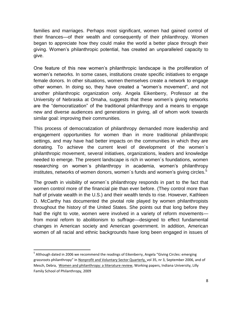families and marriages. Perhaps most significant, women had gained control of their finances—of their wealth and consequently of their philanthropy. Women began to appreciate how they could make the world a better place through their giving. Women's philanthropic potential, has created an unparalleled capacity to give.

One feature of this new women's philanthropic landscape is the proliferation of women's networks. In some cases, institutions create specific initiatives to engage female donors. In other situations, women themselves create a network to engage other women. In doing so, they have created a "women's movement", and not another philanthropic organization only. Angela Eikenberry, Professor at the University of Nebraska at Omaha, suggests that these women's giving networks are the "democratization" of the traditional philanthropy and a means to engage new and diverse audiences and generations in giving, all of whom work towards similar goal: improving their communities.

This process of democratization of philanthropy demanded more leadership and engagement opportunities for women than in more traditional philanthropic settings, and may have had better impacts on the communities in which they are donating. To achieve the current level of development of the women´s philanthropic movement, several initiatives, organizations, leaders and knowledge needed to emerge. The present landscape is rich in women´s foundations, women researching on women´s philanthropy in academia, women's philanthropy institutes, networks of women donors, women's funds and women's giving circles.<sup>5</sup>

The growth in visibility of women´s philanthropy responds in part to the fact that women control more of the financial pie than ever before. (They control more than half of private wealth in the U.S.) and their wealth tends to rise. However, Kathleen D. McCarthy has documented the pivotal role played by women philanthropists throughout the history of the United States. She points out that long before they had the right to vote, women were involved in a variety of reform movements from moral reform to abolitionism to suffrage—designed to effect fundamental changes in American society and American government. In addition, American women of all racial and ethnic backgrounds have long been engaged in issues of

<sup>&</sup>lt;sup>5</sup> Although dated in 2006 we recommend the readings of Eikenberry, Angela "Giving Circles: emerging grassroots philanthropy" in Nonprofit and Voluntary Sector Quarterly, vol 35, nr 3, September 2006, and of Mesch, Debra, Women and philanthropy: a liiterature review, Working papers, Indiana University, Lilly Family School of Philanthropy, 2009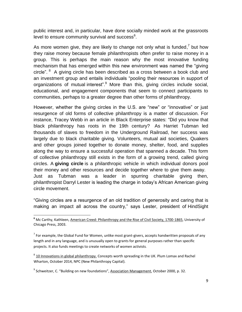public interest and, in particular, have done socially minded work at the grassroots level to ensure community survival and success<sup>6</sup>.

As more women give, they are likely to change not only what is funded,<sup>7</sup> but how they raise money because female philanthropists often prefer to raise money in a group. This is perhaps the main reason why the most innovative funding mechanism that has emerged within this new environment was named the "giving circle".  $8$  A giving circle has been described as a cross between a book club and an investment group and entails individuals "pooling their resources in support of organizations of mutual interest".<sup>9</sup> More than this, giving circles include social, educational, and engagement components that seem to connect participants to communities, perhaps to a greater degree than other forms of philanthropy.

However, whether the giving circles in the U.S. are "new" or "innovative" or just resurgence of old forms of collective philanthropy is a matter of discussion. For instance, Tracey Webb in an article in Black Enterprise states: "Did you know that black philanthropy has roots in the 19th century? As Harriet Tubman led thousands of slaves to freedom in the Underground Railroad, her success was largely due to black charitable giving. Volunteers, mutual aid societies, Quakers and other groups joined together to donate money, shelter, food, and supplies along the way to ensure a successful operation that spanned a decade. This form of collective philanthropy still exists in the form of a growing trend, called giving circles. A **[giving](http://www.givingforum.org/s_forum/bin.asp?CID=611&DID=25089&DOC=FILE.PDF) circle** is a philanthropic vehicle in which individual donors pool their money and other resources and decide together where to give them away. Just as Tubman was a leader in spurring charitable giving then, philanthropist Darryl Lester is leading the charge in today's African American giving circle movement.

"Giving circles are a resurgence of an old tradition of generosity and caring that is making an impact all across the country," says Lester, president of [HindSight](http://www.hindsightconsulting.org/)

 $\overline{a}$ **<sup>6</sup>** Mc Carthy, Kathleen, [American Creed: Philanthropy and the Rise of Civil Society, 1700-1865,](http://www.amazon.com/American-Creed-Philanthropy-Society-1700-1865/dp/0226562018/ref=la_B001HNURQQ_1_3?s=books&ie=UTF8&qid=1427387888&sr=1-3) University of Chicago Press, 2003.

 $^7$  For example, the Global Fund for Women, unlike most grant-givers, accepts handwritten proposals of any length and in any language, and is unusually open to grants for general purposes rather than specific projects. It also funds meetings to create networks of women activists.

 $^8$  10 Innovations in global philanthropy. Concepts worth spreading in the UK. Plum Lomax and Rachel Wharton, October 2014, NPC (New Philanthropy Capital).

<sup>&</sup>lt;sup>9</sup> Schweitzer, C. "Building on new foundations", Association Management, October 2000, p. 32.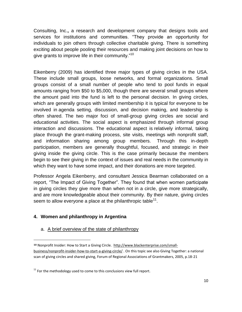Consulting, Inc.**,** a research and development company that designs tools and services for institutions and communities. "They provide an opportunity for individuals to join others through collective charitable giving. There is something exciting about people pooling their resources and making joint decisions on how to give grants to improve life in their community."<sup>10</sup>

Eikenberry (2009) has identified three major types of giving circles in the USA. These include small groups, loose networks, and formal organizations. Small groups consist of a small number of people who tend to pool funds in equal amounts ranging from \$50 to \$5,000, though there are several small groups where the amount paid into the fund is left to the personal decision. In giving circles, which are generally groups with limited membership it is typical for everyone to be involved in agenda setting, discussion, and decision making, and leadership is often shared. The two major foci of small-group giving circles are social and educational activities. The social aspect is emphasized through informal group interaction and discussions. The educational aspect is relatively informal, taking place through the grant-making process, site visits, meetings with nonprofit staff, and information sharing among group members. Through this in-depth participation, members are generally thoughtful, focused, and strategic in their giving inside the giving circle. This is the case primarily because the members begin to see their giving in the context of issues and real needs in the community in which they want to have some impact, and their donations are more targeted.

Professor Angela Eikenberry, and consultant Jessica Bearman collaborated on a report, "The Impact of Giving Together". They found that when women participate in giving circles they give more than when not in a circle, give more strategically, and are more knowledgeable about their community. By their nature, giving circles seem to allow everyone a place at the philanthropic table<sup>11</sup>.

# **4. Women and philanthropy in Argentina**

 $\overline{a}$ 

# a. A brief overview of the state of philanthropy

**<sup>10</sup>** Nonprofit Insider: How to Start a Giving Circle. [http://www.blackenterprise.com/small](http://www.blackenterprise.com/small-business/nonprofit-insider-how-to-start-a-giving-circle/)[business/nonprofit-insider-how-to-start-a-giving-circle/](http://www.blackenterprise.com/small-business/nonprofit-insider-how-to-start-a-giving-circle/) . On this topic see also Giving Together: a national scan of giving circles and shared giving, Forum of Regional Associations of Grantmakers, 2005, p.18-21

 $11$  For the methodology used to come to this conclusions view full report.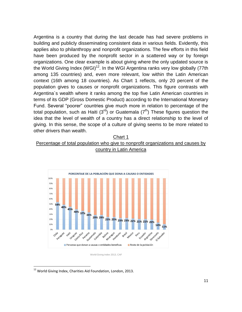Argentina is a country that during the last decade has had severe problems in building and publicly disseminating consistent data in various fields. Evidently, this applies also to philanthropy and nonprofit organizations. The few efforts in this field have been produced by the nonprofit sector in a scattered way or by foreign organizations. One clear example is about giving where the only updated source is the World Giving Index (WGI)<sup>12</sup>. In the WGI Argentina ranks very low globally (77th among 135 countries) and, even more relevant, low within the Latin American context (16th among 18 countries). As Chart 1 reflects, only 20 percent of the population gives to causes or nonprofit organizations. This figure contrasts with Argentina´s wealth where it ranks among the top five Latin American countries in terms of its GDP (Gross Domestic Product) according to the International Monetary Fund. Several "poorer" countries give much more in relation to percentage of the total population, such as Haiti  $(3^{rd})$  or Guatemala  $(7^{th})$  These figures question the idea that the level of wealth of a country has a direct relationship to the level of giving. In this sense, the scope of a culture of giving seems to be more related to other drivers than wealth.

# Chart 1 Percentage of total population who give to nonprofit organizations and causes by country in Latin America



World Giving Index 2013, CAF

<sup>&</sup>lt;sup>12</sup> World Giving Index, Charities Aid Foundation, London, 2013.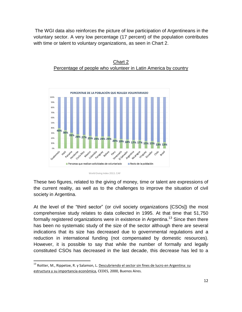The WGI data also reinforces the picture of low participation of Argentineans in the voluntary sector. A very low percentage (17 percent) of the population contributes with time or talent to voluntary organizations, as seen in Chart 2.



Chart 2 Percentage of people who volunteer in Latin America by country

World Giving Index 2013, CAF

These two figures, related to the giving of money, time or talent are expressions of the current reality, as well as to the challenges to improve the situation of civil society in Argentina.

At the level of the "third sector" (or civil society organizations [CSOs]) the most comprehensive study relates to data collected in 1995. At that time that 51,750 formally registered organizations were in existence in Argentina.<sup>13</sup> Since then there has been no systematic study of the size of the sector although there are several indications that its size has decreased due to governmental regulations and a reduction in international funding (not compensated by domestic resources). However, it is possible to say that while the number of formally and legally constituted CSOs has decreased in the last decade, this decrease has led to a

<sup>&</sup>lt;sup>13</sup> Roitter, M., Rippetoe, R. y Salamon, L. <u>Descubriendo el sector sin fines de lucro en Argentina: su</u> estructura y su importancia económica, CEDES, 2000, Buenos Aires.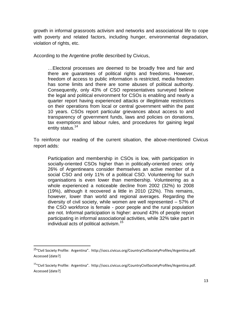growth in informal grassroots activism and networks and associational life to cope with poverty and related factors, including hunger, environmental degradation, violation of rights, etc.

According to the Argentine profile described by Civicus,

…Electoral processes are deemed to be broadly free and fair and there are guarantees of political rights and freedoms. However, freedom of access to public information is restricted, media freedom has some limits and there are some abuses of political authority. Consequently, only 43% of CSO representatives surveyed believe the legal and political environment for CSOs is enabling and nearly a quarter report having experienced attacks or illegitimate restrictions on their operations from local or central government within the past 10 years. CSOs report particular grievances about access to and transparency of government funds, laws and policies on donations, tax exemptions and labour rules, and procedures for gaining legal entity status.<sup>14</sup>

To reinforce our reading of the current situation, the above-mentioned Civicus report adds:

Participation and membership in CSOs is low, with participation in socially-oriented CSOs higher than in politically-oriented ones: only 26% of Argentineans consider themselves an active member of a social CSO and only 11% of a political CSO. Volunteering for such organisations is even lower than membership. Volunteering as a whole experienced a noticeable decline from 2002 (32%) to 2008 (19%), although it recovered a little in 2010 (22%). This remains, however, lower than world and regional averages. Regarding the diversity of civil society, while women are well represented – 57% of the CSO workforce is female - poor people and the rural population are not. Informal participation is higher: around 43% of people report participating in informal associational activities, while 32% take part in individual acts of political activism.<sup>15</sup>

<sup>&</sup>lt;sup>14</sup>"Civil Society Profile: Argentina". http://socs.civicus.org/CountryCivilSocietyProfiles/Argentina.pdf. Accessed [date?]

<sup>&</sup>lt;sup>15</sup>"Civil Society Profile: Argentina". http://socs.civicus.org/CountryCivilSocietyProfiles/Argentina.pdf. Accessed [date?]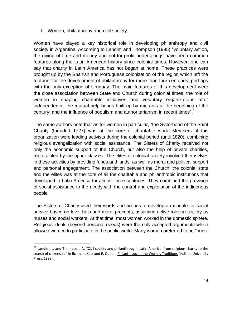### b. Women, philanthropy and civil society

Women have played a key historical role in developing philanthropy and civil society in Argentina. According to Landim and Thompson (1995) "voluntary action, the giving of time and money and not-for-profit undertakings have been common features along the Latin American history since colonial times. However, one can say that charity in Latin America has not began at home. These practices were brought up by the Spanish and Portuguese colonization of the region which left the footprint for the development of philanthropy for more than four centuries, perhaps with the only exception of Uruguay. The main features of this development were the close association between State and Church during colonial times; the role of women in shaping charitable initiatives and voluntary organizations after independence; the mutual-help bonds built up by migrants at the beginning of the century; and the influence of populism and authoritarianism in recent times".<sup>16</sup>

The same authors note that as for women in particular, "the Sisterhood of the Saint Charity (founded 1727) was at the core of charitable work. Members of this organization were leading activists during the colonial period (until 1820), combining religious evangelization with social assistance. The Sisters of Charity received not only the economic support of the Church, but also the help of private charities, represented by the upper classes. The elites of colonial society involved themselves in these activities by providing funds and lands, as well as moral and political support and personal engagement. The association between the Church, the colonial state and the elites was at the core of all the charitable and philanthropic institutions that developed in Latin America for almost three centuries. They combined the provision of social assistance to the needy with the control and exploitation of the indigenous people.

The Sisters of Charity used their words and actions to develop a rationale for social service based on love, help and moral precepts, assuming active roles in society as nurses and social workers. At that time, most women worked in the domestic sphere. Religious ideals (beyond personal needs) were the only accepted arguments which allowed women to participate in the public world. Many women preferred to be "nuns"

 $16$  Landim, L. and Thompson, A. "Civil society and philanthropy in Latin America: from religious charity to the search of citizenship" in Ilchman, Katz and E. Queen, Philanthropy in the World's Traditions (Indiana University Press, 1998).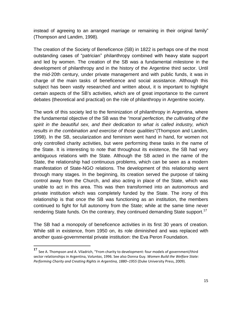instead of agreeing to an arranged marriage or remaining in their original family" (Thompson and Landim, 1998).

The creation of the Society of Beneficence (SB) in 1822 is perhaps one of the most outstanding cases of "patrician" philanthropy combined with heavy state support and led by women. The creation of the SB was a fundamental milestone in the development of philanthropy and in the history of the Argentine third sector. Until the mid-20th century, under private management and with public funds, it was in charge of the main tasks of beneficence and social assistance. Although this subject has been vastly researched and written about, it is important to highlight certain aspects of the SB's activities, which are of great importance to the current debates (theoretical and practical) on the role of philanthropy in Argentine society.

The work of this society led to the feminization of philanthropy in Argentina, where the fundamental objective of the SB was the *"moral perfection, the cultivating of the spirit in the beautiful sex, and their dedication to what is called industry, which results in the combination and exercise of those qualities*"(Thompson and Landim, 1998). In the SB, secularization and feminism went hand in hand, for women not only controlled charity activities, but were performing these tasks in the name of the State. It is interesting to note that throughout its existence, the SB had very ambiguous relations with the State. Although the SB acted in the name of the State, the relationship had continuous problems, which can be seen as a modern manifestation of State-NGO relations. The development of this relationship went through many stages. In the beginning, its creation served the purpose of taking control away from the Church, and also acting in place of the State, which was unable to act in this area. This was then transformed into an autonomous and private institution which was completely funded by the State. The irony of this relationship is that once the SB was functioning as an institution, the members continued to fight for full autonomy from the State; while at the same time never rendering State funds. On the contrary, they continued demanding State support.<sup>17</sup>

The SB had a monopoly of beneficence activities in its first 30 years of creation. While still in existence, from 1950 on, its role diminished and was replaced with another quasi-governmental private institution: the Eva Peron Foundation.

**<sup>17</sup>** See A. Thompson and A. Viladrich, "From charity to development: four models of government/third sector relationships in Argentina, V*oluntas*, 1996. See also Donna Guy. *[Women Build the Welfare State:](http://www.amazon.com/Women-Build-Welfare-State-Performing/dp/0822343304/ref=la_B001KIU58I_1_5?s=books&ie=UTF8&qid=1427136849&sr=1-5)  [Performing Charity and Creating Rights in Argentina, 1880](http://www.amazon.com/Women-Build-Welfare-State-Performing/dp/0822343304/ref=la_B001KIU58I_1_5?s=books&ie=UTF8&qid=1427136849&sr=1-5)–1955* (Duke University Press, 2009).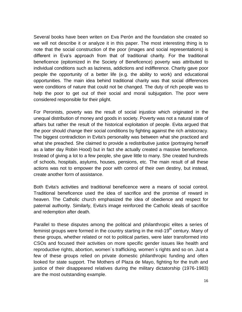Several books have been writen on Eva Perón and the foundation she created so we will not describe it or analyze it in this paper. The most interesting thing is to note that the social construction of the poor (images and social representations) is different in Eva's approach from that of traditional charity. For the traditional beneficence (epitomized in the Society of Beneficence) poverty was attributed to individual conditions such as laziness, addictions and indifference. Charity gave poor people the opportunity of a better life (e.g. the ability to work) and educational opportunities. The main idea behind traditional charity was that social differences were conditions of nature that could not be changed. The duty of rich people was to help the poor to get out of their social and moral subjugation. The poor were considered responsible for their plight.

For Peronists, poverty was the result of social injustice which originated in the unequal distribution of money and goods in society. Poverty was not a natural state of affairs but rather the result of the historical exploitation of people. Evita argued that the poor should change their social conditions by fighting against the rich aristocracy. The biggest contradiction in Evita's personality was between what she practiced and what she preached. She claimed to provide a redistributive justice (portraying herself as a latter day Robin Hood) but in fact she actually created a massive beneficence. Instead of giving a lot to a few people, she gave little to many. She created hundreds of schools, hospitals, asylums, houses, pensions, etc. The main result of all these actions was not to empower the poor with control of their own destiny, but instead, create another form of assistance.

Both Evita's activities and traditional beneficence were a means of social control. Traditional beneficence used the idea of sacrifice and the promise of reward in heaven. The Catholic church emphasized the idea of obedience and respect for paternal authority. Similarly, Evita's image reinforced the Catholic ideals of sacrifice and redemption after death.

Parallel to these disputes among the political and philanthropic elites a series of feminist groups were formed in the country starting in the mid-19<sup>th</sup> century. Many of these groups, whether related or not to political parties, were later transformed into CSOs and focused their activities on more specific gender issues like health and reproductive rights, abortion, women´s trafficking, women´s rights and so on. Just a few of these groups relied on private domestic philanthropic funding and often looked for state support. The Mothers of Plaza de Mayo, fighting for the truth and justice of their disappeared relatives during the military dictatorship (1976-1983) are the most outstanding example.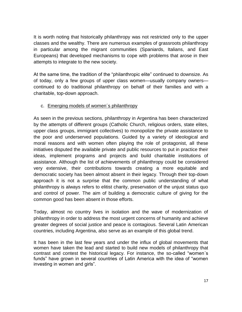It is worth noting that historically philanthropy was not restricted only to the upper classes and the wealthy. There are numerous examples of grassroots philanthropy in particular among the migrant communities (Spaniards, Italians, and East Europeans) that developed mechanisms to cope with problems that arose in their attempts to integrate to the new society.

At the same time, the tradition of the "philanthropic elite" continued to downsize. As of today, only a few groups of upper class women—usually company owners continued to do traditional philanthropy on behalf of their families and with a charitable, top-down approach.

# c. Emerging models of women´s philanthropy

As seen in the previous sections, philanthropy in Argentina has been characterized by the attempts of different groups (Catholic Church, religious orders, state elites, upper class groups, immigrant collectives) to monopolize the private assistance to the poor and underserved populations. Guided by a variety of ideological and moral reasons and with women often playing the role of protagonist, all these initiatives disputed the available private and public resources to put in practice their ideas, implement programs and projects and build charitable institutions of assistance. Although the list of achievements of philanthropy could be considered very extensive, their contributions towards creating a more equitable and democratic society has been almost absent in their legacy. Through their top-down approach it is not a surprise that the common public understanding of what philanthropy is always refers to elitist charity, preservation of the unjust status quo and control of power. The aim of building a democratic culture of giving for the common good has been absent in those efforts.

Today, almost no country lives in isolation and the wave of modernization of philanthropy in order to address the most urgent concerns of humanity and achieve greater degrees of social justice and peace is contagious. Several Latin American countries, including Argentina, also serve as an example of this global trend.

It has been in the last few years and under the influx of global movements that women have taken the lead and started to build new models of philanthropy that contrast and contest the historical legacy. For instance, the so-called "women´s funds" have grown in several countries of Latin America with the idea of "women investing in women and girls".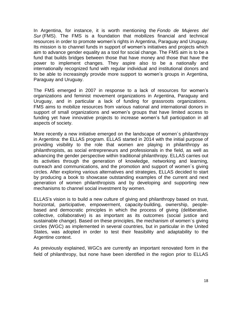In Argentina, for instance, it is worth mentioning the *Fondo de Mujeres del Sur* (FMS). The FMS is a foundation that mobilizes financial and technical resources in order to promote women's rights in Argentina, Paraguay and Uruguay. Its mission is to channel funds in support of women's initiatives and projects which aim to advance gender equality as a tool for social change. The FMS aim is to be a fund that builds bridges between those that have money and those that have the power to implement changes. They aspire also to be a nationally and internationally recognized fund with regular individual and institutional donors and to be able to increasingly provide more support to women's groups in Argentina, Paraguay and Uruguay.

The FMS emerged in 2007 in response to a lack of resources for women's organizations and feminist movement organizations in Argentina, Paraguay and Uruguay, and in particular a lack of funding for grassroots organizations. FMS aims to mobilize resources from various national and international donors in support of small organizations and women's groups that have limited access to funding yet have innovative projects to increase women's full participation in all aspects of society.

More recently a new initiative emerged on the landscape of women´s philanthropy in Argentina: the ELLAS program. ELLAS started in 2014 with the initial purpose of providing visibility to the role that women are playing in philanthropy as philanthropists, as social entrepreneurs and professionals in the field, as well as advancing the gender perspective within traditional philanthropy. ELLAS carries out its activities through the generation of knowledge, networking and learning, outreach and communications, and the promotion and support of women´s giving circles. After exploring various alternatives and strategies, ELLAS decided to start by producing a book to showcase outstanding examples of the current and next generation of women philanthropists and by developing and supporting new mechanisms to channel social investment by women.

ELLAS's vision is to build a new culture of giving and philanthropy based on trust, horizontal, participative, empowerment, capacity-building, ownership, peoplebased and democratic principles in which the process of giving (deliberative, collective, collaborative) is as important as its outcomes (social justice and sustainable change). Based on these principles, the mechanism of women´s giving circles (WGC) as implemented in several countries, but in particular in the United States, was adopted in order to test their feasibility and adaptability to the Argentine context.

As previously explained, WGCs are currently an important renovated form in the field of philanthropy, but none have been identified in the region prior to ELLAS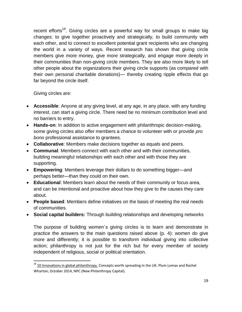recent efforts<sup>18</sup>. Giving circles are a powerful way for small groups to make big changes: to give together proactively and strategically, to build community with each other, and to connect to excellent potential grant recipients who are changing the world in a variety of ways. Recent research has shown that giving circle members give more money, give more strategically, and engage more deeply in their communities than non-giving circle members. They are also more likely to tell other people about the organizations their giving circle supports (as compared with their own personal charitable donations)— thereby creating ripple effects that go far beyond the circle itself.

Giving circles are:

 $\overline{a}$ 

- **Accessible**: Anyone at any giving level, at any age, in any place, with any funding interest, can start a giving circle. There need be no minimum contribution level and no barriers to entry.
- **Hands-on**: In addition to active engagement with philanthropic decision-making, some giving circles also offer members a chance to volunteer with or provide *pro bono* professional assistance to grantees.
- **Collaborative**: Members make decisions together as equals and peers.
- **Communal**: Members connect with each other and with their communities, building meaningful relationships with each other and with those they are supporting.
- **Empowering**: Members leverage their dollars to do something bigger—and perhaps better—than they could on their own.
- **Educational**: Members learn about the needs of their community or focus area, and can be intentional and proactive about how they give to the causes they care about.
- **People based**: Members define initiatives on the basis of meeting the real needs of communities.
- **Social capital builders:** Through building relationships and developing networks

The purpose of building women´s giving circles is to learn and demonstrate in practice the answers to the main questions raised above (p. 4): women do give more and differently; it is possible to transform individual giving into collective action; philanthropy is not just for the rich but for every member of society independent of religious, social or political orientation.

 $^{18}$  10 Innovations in global philanthropy. Concepts worth spreading in the UK. Plum Lomax and Rachel Wharton, October 2014, NPC (New Philanthropy Capital).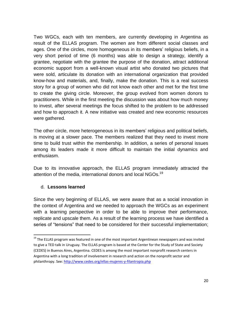Two WGCs, each with ten members, are currently developing in Argentina as result of the ELLAS program. The women are from different social classes and ages. One of the circles, more homogeneous in its members' religious beliefs, in a very short period of time (6 months) was able to design a strategy, identify a grantee, negotiate with the grantee the purpose of the donation, attract additional economic support from a well-known visual artist who donated two pictures that were sold, articulate its donation with an international organization that provided know-how and materials, and, finally, make the donation. This is a real success story for a group of women who did not know each other and met for the first time to create the giving circle. Moreover, the group evolved from women donors to practitioners. While in the first meeting the discussion was about how much money to invest, after several meetings the focus shifted to the problem to be addressed and how to approach it. A new initiative was created and new economic resources were gathered.

The other circle, more heterogeneous in its members' religious and political beliefs, is moving at a slower pace. The members realized that they need to invest more time to build trust within the membership. In addition, a series of personal issues among its leaders made it more difficult to maintain the initial dynamics and enthusiasm.

Due to its innovative approach, the ELLAS program immediately attracted the attention of the media, international donors and local NGOs.<sup>19</sup>

#### d. **Lessons learned**

 $\overline{a}$ 

Since the very beginning of ELLAS, we were aware that as a social innovation in the context of Argentina and we needed to approach the WGCs as an experiment with a learning perspective in order to be able to improve their performance, replicate and upscale them. As a result of the learning process we have identified a series of "tensions" that need to be considered for their successful implementation;

<sup>&</sup>lt;sup>19</sup> The ELLAS program was featured in one of the most important Argentinean newspapers and was invited to give a TED talk in Uruguay. The ELLAS program is based at the Center for the Study of State and Society (CEDES) in Buenos Aires, Argentina. CEDES is among the most important nonprofit research centers in Argentina with a long tradition of involvement in research and action on the nonprofit sector and philanthropy. See[: http://www.cedes.org/ellas-mujeres-y-filantropia.php](http://www.cedes.org/ellas-mujeres-y-filantropia.php)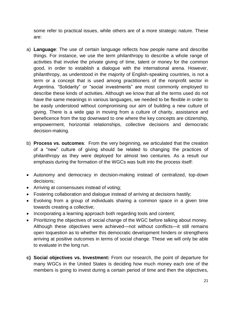some refer to practical issues, while others are of a more strategic nature. These are:

- a) **Language**: The use of certain language reflects how people name and describe things. For instance, we use the term philanthropy to describe a whole range of activities that involve the private giving of time, talent or money for the common good, in order to establish a dialogue with the international arena. However, philanthropy, as understood in the majority of English-speaking countries, is not a term or a concept that is used among practitioners of the nonprofit sector in Argentina. "Solidarity" or "social investments" are most commonly employed to describe these kinds of activities. Although we know that all the terms used do not have the same meanings in various languages, we needed to be flexible in order to be easily understood without compromising our aim of building a new culture of giving. There is a wide gap in moving from a culture of charity, assistance and beneficence from the top downward to one where the key concepts are citizenship, empowerment, horizontal relationships, collective decisions and democratic decision-making.
- b) **Process vs. outcomes**: From the very beginning, we articulated that the creation of a "new" culture of giving should be related to changing the practices of philanthropy as they were deployed for almost two centuries. As a result our emphasis during the formation of the WGCs was built into the process itself:
- Autonomy and democracy in decision-making instead of centralized, top-down decisions;
- Arriving at consensuses instead of voting;
- Fostering collaboration and dialogue instead of arriving at decisions hastily;
- Evolving from a group of individuals sharing a common space in a given time towards creating a collective;
- Incorporating a learning approach both regarding tools and content;
- Prioritizing the objectives of social change of the WGC before talking about money. Although these objectives were achieved—not without conflicts—it still remains open toquestion as to whether this democratic development hinders or strengthens arriving at positive outcomes in terms of social change. These we will only be able to evaluate in the long run.
- **c) Social objectives vs. Investment:** From our research, the point of departure for many WGCs in the United States is deciding how much money each one of the members is going to invest during a certain period of time and then the objectives,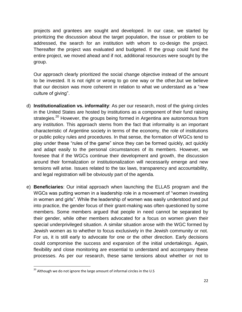projects and grantees are sought and developed. In our case, we started by prioritizing the discussion about the target population, the issue or problem to be addressed, the search for an institution with whom to co-design the project. Thereafter the project was evaluated and budgeted. If the group could fund the entire project, we moved ahead and if not, additional resources were sought by the group.

Our approach clearly prioritized the social change objective instead of the amount to be invested. It is not right or wrong to go one way or the other,but we believe that our decision was more coherent in relation to what we understand as a "new culture of giving".

- d) **Institutionalization vs. informality**: As per our research, most of the giving circles in the United States are hosted by institutions as a component of their fund raising strategies.<sup>20</sup> However, the groups being formed in Argentina are autonomous from any institution. This approach stems from the fact that informality is an important characteristic of Argentine society in terms of the economy, the role of institutions or public policy rules and procedures. In that sense, the formation of WGCs tend to play under these "rules of the game" since they can be formed quickly, act quickly and adapt easily to the personal circumstances of its members. However, we foresee that if the WGCs continue their development and growth, the discussion around their formalization or institutionalization will necessarily emerge and new tensions will arise. Issues related to the tax laws, transparency and accountability, and legal registration will be obviously part of the agenda.
- e) **Beneficiaries**: Our initial approach when launching the ELLAS program and the WGCs was putting women in a leadership role in a movement of "women investing in women and girls". While the leadership of women was easily understood and put into practice, the gender focus of their grant-making was often questioned by some members. Some members argued that people in need cannot be separated by their gender, while other members advocated for a focus on women given their special underprivileged situation. A similar situation arose with the WGC formed by Jewish women as to whether to focus exclusively in the Jewish community or not. For us, it is still early to advocate for one or the other direction. Early decisions could compromise the success and expansion of the initial undertakings. Again, flexibility and close monitoring are essential to understand and accompany these processes. As per our research, these same tensions about whether or not to

 $20$  Although we do not ignore the large amount of informal circles in the U.S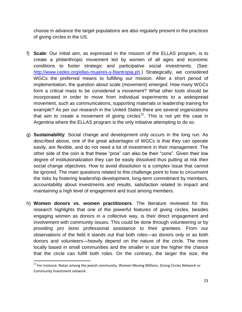choose in advance the target populations are also regularly present in the practices of giving circles in the US.

- f) **Scale**: Our initial aim, as expressed in the mission of the ELLAS program, is to create a philanthropic movement led by women of all ages and economic conditions to foster strategic and participative social investments. (See: [http://www.cedes.org/ellas-mujeres-y-filantropia.ph.](http://www.cedes.org/ellas-mujeres-y-filantropia.ph)) Strategically, we considered WGCs the preferred means to fulfilling our mission. After a short period of implementation, the question about scale (movement) emerged. How many WGCs form a critical mass to be considered a movement? What other tools should be incorporated in order to move from individual experiments to a widespread movement, such as communications, supporting materials or leadership training for example? As per our research in the United States there are several organizations that aim to create a movement of giving circles<sup>21</sup>. This is not yet the case in Argentina where the ELLAS program is the only initiative attempting to do so.
- g) **Sustainability**: Social change and development only occurs in the long run. As described above, one of the great advantages of WGCs is that they can operate easily, are flexible, and do not need a lot of investment in their management. The other side of the coin is that these "pros" can also be their "cons". Given their low degree of institutionalization they can be easily dissolved thus putting at risk their social change objectives. How to avoid dissolution is a complex issue that cannot be ignored. The main questions related to this challenge point to how to circumvent the risks by fostering leadership development, long-term commitment by members, accountability about investments and results, satisfaction related to impact and maintaining a high level of engagement and trust among members.
- h) **Women donors vs. women practitioners**. The literature reviewed for this research highlights that one of the powerful features of giving circles, besides engaging women as donors in a collective way, is their direct engagement and involvement with community issues. This could be done through volunteering or by providing *pro bono* professional assistance to their grantees. From our observations of the field it stands out that both roles—as donors only or as both donors and volunteers—heavily depend on the nature of the circle. The more locally based in small communities and the smaller in size the higher the chance that the circle can fulfill both roles. On the contrary, the larger the size, the

<sup>&</sup>lt;sup>21</sup> For instance, Natan among the jewish community, Women Moving Millions, Giving Circles Network or Community Investment network.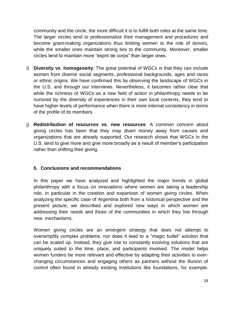community and the circle, the more difficult it is to fulfill both roles at the same time. The larger circles tend to professionalize their management and procedures and become grant-making organizations thus limiting women to the role of donors, while the smaller ones maintain strong ties to the community. Moreover, smaller circles tend to maintain more "esprit de corps" than larger ones.

- i) **Diversity vs**. **homogeneity**: The great potential of WGCs is that they can include women from diverse social segments, professional backgrounds, ages and races or ethnic origins. We have confirmed this by observing the landscape of WGCs in the U.S. and through our interviews. Nevertheless, it becomes rather clear that while the richness of WGCs as a new field of action in philanthropy needs to be nurtured by the diversity of experiences in their own local contexts, they tend to have higher levels of performance when there is more internal consistency in terms of the profile of its members.
- j) **Redistribution of resources vs**. **new resources**: A common concern about giving circles has been that they may divert money away from causes and organizations that are already supported. Our research shows that WGCs in the U.S. tend to give more and give more broadly as a result of member's participation rather than shifting their giving.

# **5. Conclusions and recommendations**

In this paper we have analyzed and highlighted the major trends in global philanthropy with a focus on innovations where women are taking a leadership role, in particular in the creation and expansion of women giving circles. When analyzing the specific case of Argentina both from a historical perspective and the present picture, we described and explored new ways in which women are addressing their needs and those of the communities in which they live through new mechanisms.

Women giving circles are an emergent strategy that does not attempt to oversimplify complex problems, nor does it lead to a "magic bullet" solution that can be scaled up. Instead, they give rise to constantly evolving solutions that are uniquely suited to the time, place, and participants involved. The model helps women funders be more relevant and effective by adapting their activities to everchanging circumstances and engaging others as partners without the illusion of control often found in already existing institutions like foundations, for example.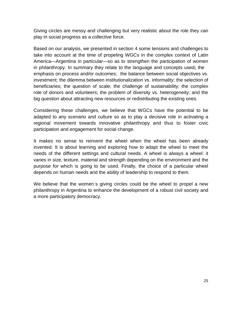Giving circles are messy and challenging but very realistic about the role they can play in social progress as a collective force.

Based on our analysis, we presented in section 4 some tensions and challenges to take into account at the time of propeling WGCs in the complex context of Latin America—Argentina in particular—so as to strengthen the participation of women in philanthropy. In summary they relate to the language and concepts used**;** the emphasis on process and/or outcomes; the balance between social objectives vs. investment; the dilemma between institutionalization vs. informality; the selection of beneficiaries; the question of scale; the challenge of sustainability; the complex role of donors and volunteers; the problem of diversity vs. heterogeneity; and the big question about attracting new resources or redistributing the existing ones.

Considering these challenges, we believe that WGCs have the potential to be adapted to any scenario and culture so as to play a decisive role in activating a regional movement towards innovative philanthropy and thus to foster civic participation and engagement for social change.

It makes no sense to reinvent the wheel when the wheel has been already invented. It is about learning and exploring how to adapt the wheel to meet the needs of the different settings and cultural needs. A wheel is always a wheel: it varies in size, texture, material and strength depending on the environment and the purpose for which is going to be used. Finally, the choice of a particular wheel depends on human needs and the ability of leadership to respond to them.

We believe that the women's giving circles could be the wheel to propel a new philanthropy in Argentina to enhance the development of a robust civil society and a more participatory democracy.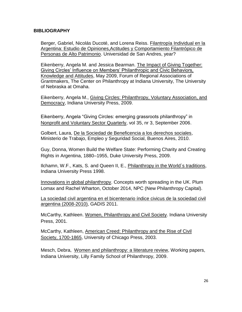#### **BIBLIOGRAPHY**

Berger, Gabriel, Nicolás Ducoté, and Lorena Reiss. Filantropía Individual en la Argentina: Estudio de Opiniones,Actitudes y Comportamiento Filantrópico de Personas de Alto Patrimonio. Universidad de San Andres, year?

Eikenberry, Angela M. and Jessica Bearman. The Impact of Giving Together: Giving Circles' Influence on Members' Philanthropic and Civic Behaviors, Knowledge and Attitudes, May 2009, Forum of Regional Associations of Grantmakers, The Center on Philanthropy at Indiana University, The University of Nebraska at Omaha.

Eikenberry, Angela M., Giving Circles: Philanthropy, Voluntary Association, and Democracy, Indiana University Press, 2009.

Eikenberry, Angela "Giving Circles: emerging grassroots philanthropy" in Nonprofit and Voluntary Sector Quarterly, vol 35, nr 3, September 2006.

Golbert, Laura, De la Sociedad de Beneficencia a los derechos sociales, Ministerio de Trabajo, Empleo y Seguridad Social, Buenos Aires, 2010.

Guy, Donna, [Women Build the Welfare State: Performing Charity and Creating](http://www.amazon.com/Women-Build-Welfare-State-Performing/dp/0822343304/ref=la_B001KIU58I_1_5?s=books&ie=UTF8&qid=1427136849&sr=1-5)  [Rights in Argentina, 1880–1955,](http://www.amazon.com/Women-Build-Welfare-State-Performing/dp/0822343304/ref=la_B001KIU58I_1_5?s=books&ie=UTF8&qid=1427136849&sr=1-5) Duke University Press, 2009.

Ilchamn, W.F., Kats, S. and Queen II, E., Philanthropy in the World´s traditions, Indiana University Press 1998.

Innovations in global philanthropy. Concepts worth spreading in the UK. Plum Lomax and Rachel Wharton, October 2014, NPC (New Philanthropy Capital).

La sociedad civil argentina en el bicentenario índice civicus de la sociedad civil argentina (2008-2010), GADIS 2011.

McCarthy, Kathleen. Women, Philanthropy and Civil Society. Indiana University Press, 2001.

McCarthy, Kathleen, [American Creed: Philanthropy and the Rise of Civil](http://www.amazon.com/American-Creed-Philanthropy-Society-1700-1865/dp/0226562018/ref=la_B001HNURQQ_1_3?s=books&ie=UTF8&qid=1427387888&sr=1-3)  [Society, 1700-1865,](http://www.amazon.com/American-Creed-Philanthropy-Society-1700-1865/dp/0226562018/ref=la_B001HNURQQ_1_3?s=books&ie=UTF8&qid=1427387888&sr=1-3) University of Chicago Press, 2003.

Mesch, Debra, Women and philanthropy: a liiterature review, Working papers, Indiana University, Lilly Family School of Philanthropy, 2009.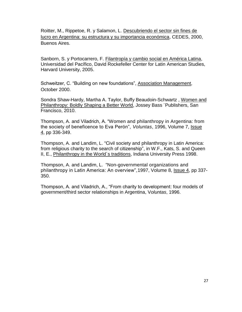Roitter, M., Rippetoe, R. y Salamon, L. Descubriendo el sector sin fines de lucro en Argentina: su estructura y su importancia económica, CEDES, 2000, Buenos Aires.

Sanborn, S. y Portocarrero, F. Filantropía y cambio social en América Latina, Universidad del Pacífico, David Rockefeller Center for Latin American Studies, Harvard University, 2005.

Schweitzer, C. "Building on new foundations", Association Management, October 2000.

Sondra Shaw-Hardy, Martha A. Taylor, Buffy Beaudoin-Schwartz , Women and Philanthropy: Boldly Shaping a Better World, Jossey Bass ¨Publishers, San Francisco, 2010.

Thompson, A. and Viladrich, A. "Women and philanthropy in Argentina: from the society of beneficence to Eva Perón", *Voluntas*, 1996, Volume 7, [Issue](http://link.springer.com/journal/11266/7/4/page/1)  [4,](http://link.springer.com/journal/11266/7/4/page/1) pp 336-349.

Thompson, A. and Landim, L. "Civil society and philanthropy in Latin America: from religious charity to the search of citizenship", in W.F., Kats, S. and Queen II, E., Philanthropy in the World's traditions, Indiana University Press 1998.

Thompson, A. and Landim, L. "Non-governmental organizations and philanthropy in Latin America: An overview", 1997, Volume 8, [Issue 4,](http://link.springer.com/journal/11266/8/4/page/1) pp 337-350.

Thompson, A. and Viladrich, A., "From charity to development: four models of government/third sector relationships in Argentina, V*oluntas*, 1996.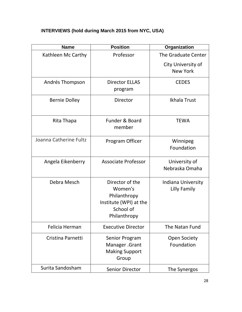# I**NTERVIEWS (hold during March 2015 from NYC, USA)**

| <b>Name</b>            | <b>Position</b>                                                                                   | Organization                          |
|------------------------|---------------------------------------------------------------------------------------------------|---------------------------------------|
| Kathleen Mc Carthy     | Professor                                                                                         | The Graduate Center                   |
|                        |                                                                                                   | City University of<br><b>New York</b> |
| Andrés Thompson        | <b>Director ELLAS</b><br>program                                                                  | <b>CEDES</b>                          |
| <b>Bernie Dolley</b>   | Director                                                                                          | Ikhala Trust                          |
| Rita Thapa             | <b>Funder &amp; Board</b><br>member                                                               | <b>TEWA</b>                           |
| Joanna Catherine Fultz | Program Officer                                                                                   | Winnipeg<br>Foundation                |
| Angela Eikenberry      | <b>Associate Professor</b>                                                                        | University of<br>Nebraska Omaha       |
| Debra Mesch            | Director of the<br>Women's<br>Philanthropy<br>Institute (WPI) at the<br>School of<br>Philanthropy | Indiana University<br>Lilly Family    |
| Felicia Herman         | <b>Executive Director</b>                                                                         | The Natan Fund                        |
| Cristina Parnetti      | Senior Program<br>Manager .Grant<br><b>Making Support</b><br>Group                                | <b>Open Society</b><br>Foundation     |
| Surita Sandosham       | <b>Senior Director</b>                                                                            | The Synergos                          |